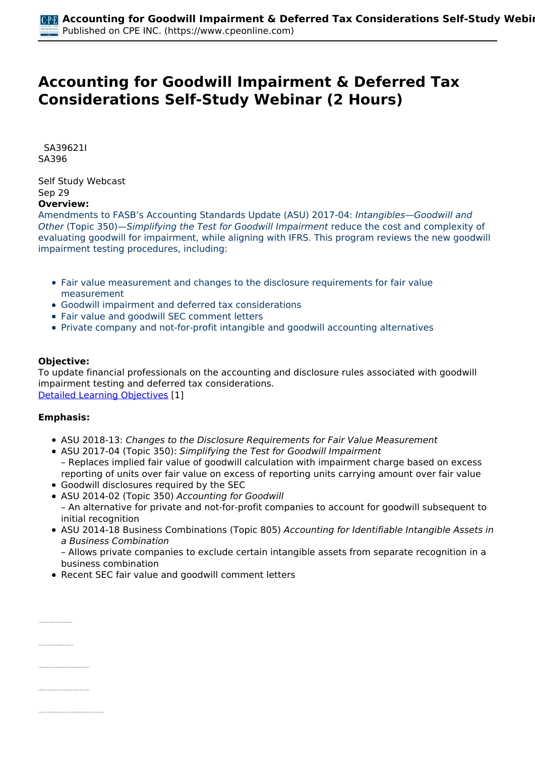# **Accounting for Goodwill Impairment & Deferred Tax Considerations Self-Study Webinar (2 Hours)**

 *SA39621I SA396* 

*Self Study Webcast Sep 29*  **Overview:** 

*Amendments to FASB's Accounting Standards Update (ASU) 2017-04: Intangibles—Goodwill and Other (Topic 350)—Simplifying the Test for Goodwill Impairment reduce the cost and complexity of* evaluating goodwill for impairment, while aligning with IFRS. This program reviews the new goodwill *impairment testing procedures, including:*

- *Fair value measurement and changes to the disclosure requirements for fair value measurement*
- *Goodwill impairment and deferred tax considerations*
- *Fair value and goodwill SEC comment letters*
- *Private company and not-for-profit intangible and goodwill accounting alternatives*

## **Objective:**

*To update financial professionals on the accounting and disclosure rules associated with goodwill impairment testing and deferred tax considerations. [Detailed Learning Objectives](https://www.cpeonline.com/JavaScript:showObjectivesPopup();) [1]*

#### **Emphasis:**

*• Identify the primary changes to goodwill impairment testing contained within ASU 2017-04*

- *ASU 2018-13: Changes to the Disclosure Requirements for Fair Value Measurement*
- *ASU 2017-04 (Topic 350): Simplifying the Test for Goodwill Impairment – Replaces implied fair value of goodwill calculation with impairment charge based on excess reporting of units over fair value on excess of reporting units carrying amount over fair value*
- *Goodwill disclosures required by the SEC*
- *ASU 2014-02 (Topic 350) Accounting for Goodwill – An alternative for private and not-for-profit companies to account for goodwill subsequent to initial recognition*
- *ASU 2014-18 Business Combinations (Topic 805) Accounting for Identifiable Intangible Assets in a Business Combination*

*– Allows private companies to exclude certain intangible assets from separate recognition in a business combination*

*Recent SEC fair value and goodwill comment letters*